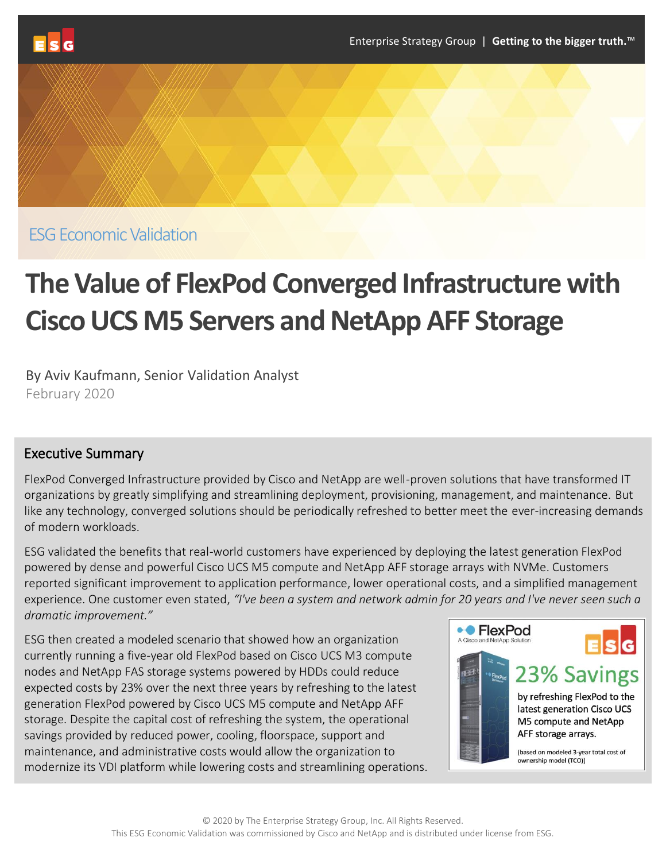

ESG Economic Validation

# **The Value of FlexPod Converged Infrastructure with Cisco UCS M5 Servers and NetApp AFF Storage**

By Aviv Kaufmann, Senior Validation Analyst February 2020

# Executive Summary

FlexPod Converged Infrastructure provided by Cisco and NetApp are well-proven solutions that have transformed IT organizations by greatly simplifying and streamlining deployment, provisioning, management, and maintenance. But like any technology, converged solutions should be periodically refreshed to better meet the ever-increasing demands of modern workloads.

ESG validated the benefits that real-world customers have experienced by deploying the latest generation FlexPod powered by dense and powerful Cisco UCS M5 compute and NetApp AFF storage arrays with NVMe. Customers reported significant improvement to application performance, lower operational costs, and a simplified management experience. One customer even stated, *"I've been a system and network admin for 20 years and I've never seen such a dramatic improvement."*

ESG then created a modeled scenario that showed how an organization currently running a five-year old FlexPod based on Cisco UCS M3 compute nodes and NetApp FAS storage systems powered by HDDs could reduce expected costs by 23% over the next three years by refreshing to the latest generation FlexPod powered by Cisco UCS M5 compute and NetApp AFF storage. Despite the capital cost of refreshing the system, the operational savings provided by reduced power, cooling, floorspace, support and maintenance, and administrative costs would allow the organization to modernize its VDI platform while lowering costs and streamlining operations.

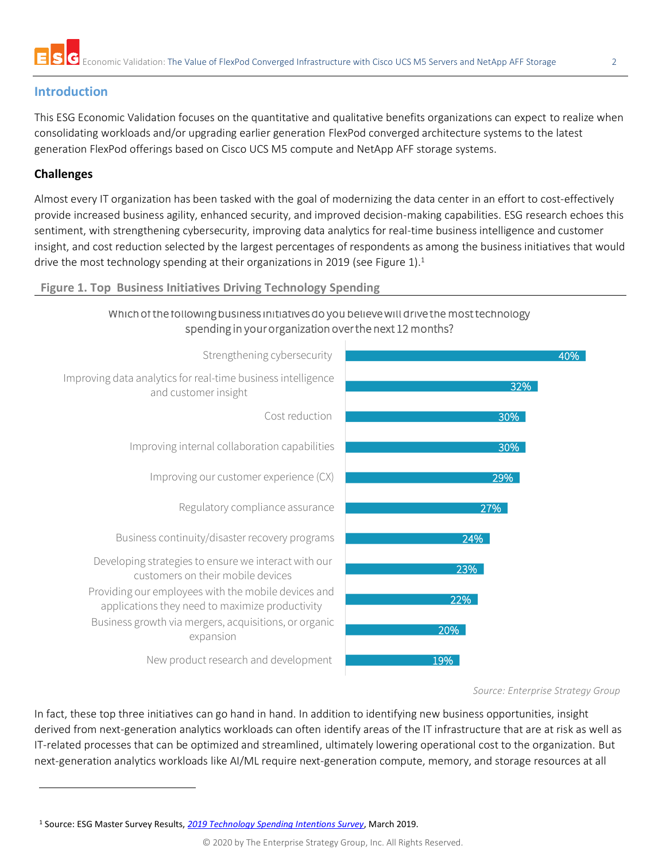# **Introduction**

This ESG Economic Validation focuses on the quantitative and qualitative benefits organizations can expect to realize when consolidating workloads and/or upgrading earlier generation FlexPod converged architecture systems to the latest generation FlexPod offerings based on Cisco UCS M5 compute and NetApp AFF storage systems.

## **Challenges**

Almost every IT organization has been tasked with the goal of modernizing the data center in an effort to cost-effectively provide increased business agility, enhanced security, and improved decision-making capabilities. ESG research echoes this sentiment, with strengthening cybersecurity, improving data analytics for real-time business intelligence and customer insight, and cost reduction selected by the largest percentages of respondents as among the business initiatives that would drive the most technology spending at their organizations in 2019 (see Figure 1).<sup>1</sup>

## **Figure 1. Top Business Initiatives Driving Technology Spending**



## Which of the following business initiatives do you believe will drive the most technology spending in your organization over the next 12 months?

*Source: Enterprise Strategy Group*

In fact, these top three initiatives can go hand in hand. In addition to identifying new business opportunities, insight derived from next-generation analytics workloads can often identify areas of the IT infrastructure that are at risk as well as IT-related processes that can be optimized and streamlined, ultimately lowering operational cost to the organization. But next-generation analytics workloads like AI/ML require next-generation compute, memory, and storage resources at all

<sup>1</sup> Source: ESG Master Survey Results, *[2019 Technology Spending Intentions Survey](https://www.esg-global.com/research/esg-master-survey-results-2019-technology-spending-intentions-survey)*, March 2019.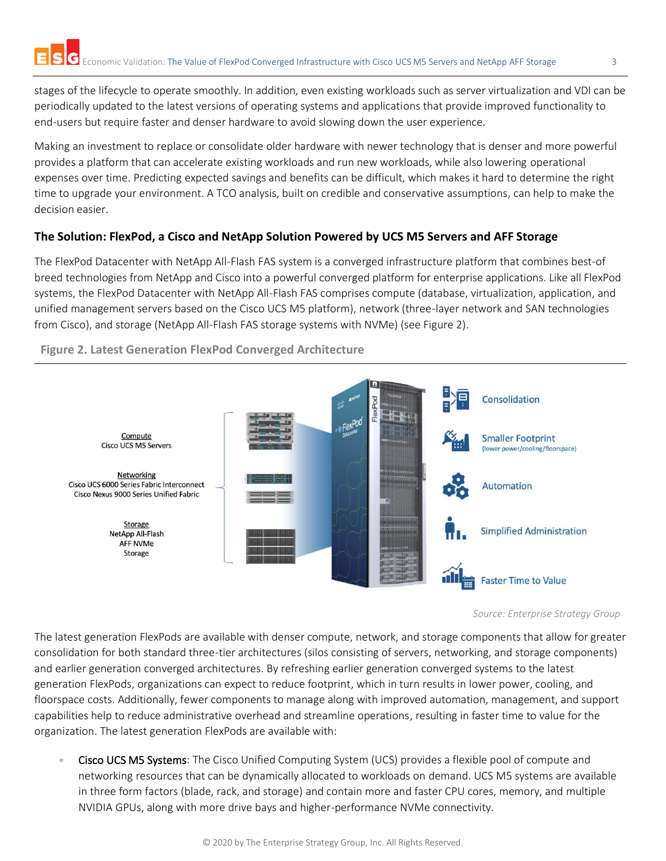stages of the lifecycle to operate smoothly. In addition, even existing workloads such as server virtualization and VDI can be periodically updated to the latest versions of operating systems and applications that provide improved functionality to end-users but require faster and denser hardware to avoid slowing down the user experience.

Making an investment to replace or consolidate older hardware with newer technology that is denser and more powerful provides a platform that can accelerate existing workloads and run new workloads, while also lowering operational expenses over time. Predicting expected savings and benefits can be difficult, which makes it hard to determine the right time to upgrade your environment. A TCO analysis, built on credible and conservative assumptions, can help to make the decision easier.

## **The Solution: FlexPod, a Cisco and NetApp Solution Powered by UCS M5 Servers and AFF Storage**

The FlexPod Datacenter with NetApp All-Flash FAS system is a converged infrastructure platform that combines best-of breed technologies from NetApp and Cisco into a powerful converged platform for enterprise applications. Like all FlexPod systems, the FlexPod Datacenter with NetApp All-Flash FAS comprises compute (database, virtualization, application, and unified management servers based on the Cisco UCS M5 platform), network (three-layer network and SAN technologies from Cisco), and storage (NetApp All-Flash FAS storage systems with NVMe) (see Figure 2).



**Figure 2. Latest Generation FlexPod Converged Architecture**

*Source: Enterprise Strategy Group*

The latest generation FlexPods are available with denser compute, network, and storage components that allow for greater consolidation for both standard three-tier architectures (silos consisting of servers, networking, and storage components) and earlier generation converged architectures. By refreshing earlier generation converged systems to the latest generation FlexPods, organizations can expect to reduce footprint, which in turn results in lower power, cooling, and floorspace costs. Additionally, fewer components to manage along with improved automation, management, and support capabilities help to reduce administrative overhead and streamline operations, resulting in faster time to value for the organization. The latest generation FlexPods are available with:

• Cisco UCS M5 Systems: The Cisco Unified Computing System (UCS) provides a flexible pool of compute and networking resources that can be dynamically allocated to workloads on demand. UCS M5 systems are available in three form factors (blade, rack, and storage) and contain more and faster CPU cores, memory, and multiple NVIDIA GPUs, along with more drive bays and higher-performance NVMe connectivity.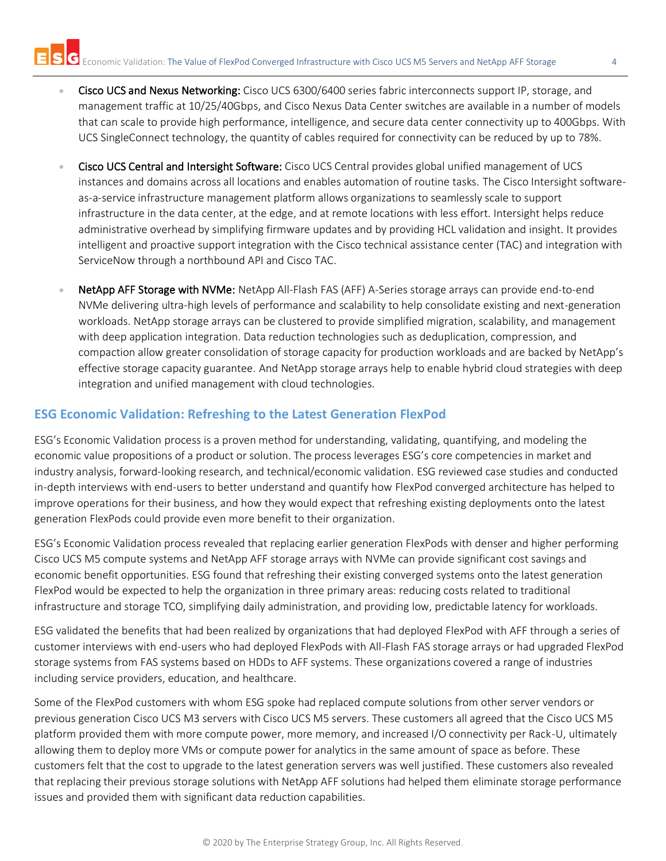- - Cisco UCS and Nexus Networking: Cisco UCS 6300/6400 series fabric interconnects support IP, storage, and management traffic at 10/25/40Gbps, and Cisco Nexus Data Center switches are available in a number of models that can scale to provide high performance, intelligence, and secure data center connectivity up to 400Gbps. With UCS SingleConnect technology, the quantity of cables required for connectivity can be reduced by up to 78%.
	- Cisco UCS Central and Intersight Software: Cisco UCS Central provides global unified management of UCS instances and domains across all locations and enables automation of routine tasks. The Cisco Intersight softwareas-a-service infrastructure management platform allows organizations to seamlessly scale to support infrastructure in the data center, at the edge, and at remote locations with less effort. Intersight helps reduce administrative overhead by simplifying firmware updates and by providing HCL validation and insight. It provides intelligent and proactive support integration with the Cisco technical assistance center (TAC) and integration with ServiceNow through a northbound API and Cisco TAC.
	- NetApp AFF Storage with NVMe: NetApp All-Flash FAS (AFF) A-Series storage arrays can provide end-to-end NVMe delivering ultra-high levels of performance and scalability to help consolidate existing and next-generation workloads. NetApp storage arrays can be clustered to provide simplified migration, scalability, and management with deep application integration. Data reduction technologies such as deduplication, compression, and compaction allow greater consolidation of storage capacity for production workloads and are backed by NetApp's effective storage capacity guarantee. And NetApp storage arrays help to enable hybrid cloud strategies with deep integration and unified management with cloud technologies.

## **ESG Economic Validation: Refreshing to the Latest Generation FlexPod**

ESG's Economic Validation process is a proven method for understanding, validating, quantifying, and modeling the economic value propositions of a product or solution. The process leverages ESG's core competencies in market and industry analysis, forward-looking research, and technical/economic validation. ESG reviewed case studies and conducted in-depth interviews with end-users to better understand and quantify how FlexPod converged architecture has helped to improve operations for their business, and how they would expect that refreshing existing deployments onto the latest generation FlexPods could provide even more benefit to their organization.

ESG's Economic Validation process revealed that replacing earlier generation FlexPods with denser and higher performing Cisco UCS M5 compute systems and NetApp AFF storage arrays with NVMe can provide significant cost savings and economic benefit opportunities. ESG found that refreshing their existing converged systems onto the latest generation FlexPod would be expected to help the organization in three primary areas: reducing costs related to traditional infrastructure and storage TCO, simplifying daily administration, and providing low, predictable latency for workloads.

ESG validated the benefits that had been realized by organizations that had deployed FlexPod with AFF through a series of customer interviews with end-users who had deployed FlexPods with All-Flash FAS storage arrays or had upgraded FlexPod storage systems from FAS systems based on HDDs to AFF systems. These organizations covered a range of industries including service providers, education, and healthcare.

Some of the FlexPod customers with whom ESG spoke had replaced compute solutions from other server vendors or previous generation Cisco UCS M3 servers with Cisco UCS M5 servers. These customers all agreed that the Cisco UCS M5 platform provided them with more compute power, more memory, and increased I/O connectivity per Rack-U, ultimately allowing them to deploy more VMs or compute power for analytics in the same amount of space as before. These customers felt that the cost to upgrade to the latest generation servers was well justified. These customers also revealed that replacing their previous storage solutions with NetApp AFF solutions had helped them eliminate storage performance issues and provided them with significant data reduction capabilities.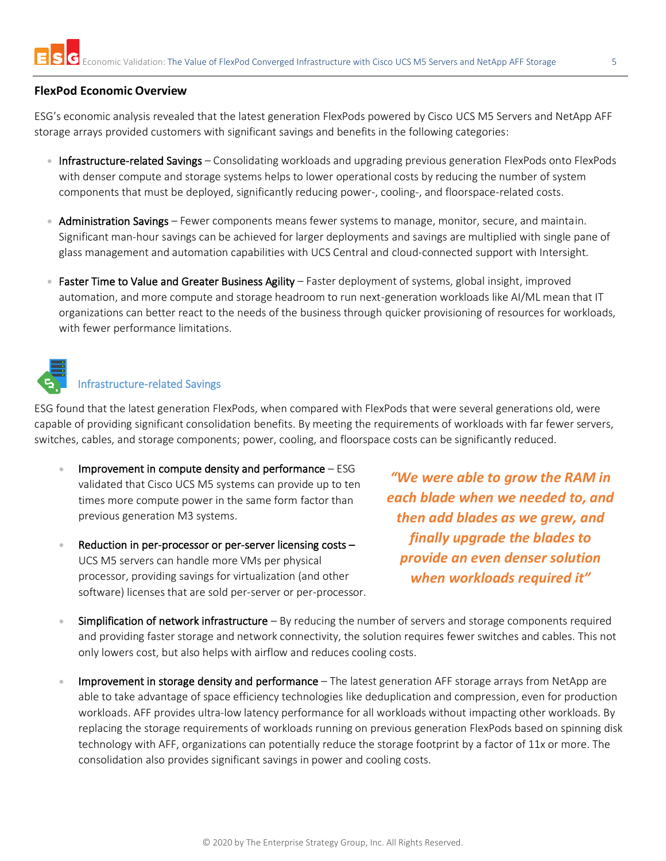## **FlexPod Economic Overview**

ESG's economic analysis revealed that the latest generation FlexPods powered by Cisco UCS M5 Servers and NetApp AFF storage arrays provided customers with significant savings and benefits in the following categories:

- Infrastructure-related Savings Consolidating workloads and upgrading previous generation FlexPods onto FlexPods with denser compute and storage systems helps to lower operational costs by reducing the number of system components that must be deployed, significantly reducing power-, cooling-, and floorspace-related costs.
- Administration Savings Fewer components means fewer systems to manage, monitor, secure, and maintain. Significant man-hour savings can be achieved for larger deployments and savings are multiplied with single pane of glass management and automation capabilities with UCS Central and cloud-connected support with Intersight.
- Faster Time to Value and Greater Business Agility Faster deployment of systems, global insight, improved automation, and more compute and storage headroom to run next-generation workloads like AI/ML mean that IT organizations can better react to the needs of the business through quicker provisioning of resources for workloads, with fewer performance limitations.



# Infrastructure-related Savings

ESG found that the latest generation FlexPods, when compared with FlexPods that were several generations old, were capable of providing significant consolidation benefits. By meeting the requirements of workloads with far fewer servers, switches, cables, and storage components; power, cooling, and floorspace costs can be significantly reduced.

- **Improvement in compute density and performance**  $-ESG$ validated that Cisco UCS M5 systems can provide up to ten times more compute power in the same form factor than previous generation M3 systems.
- Reduction in per-processor or per-server licensing costs -UCS M5 servers can handle more VMs per physical processor, providing savings for virtualization (and other software) licenses that are sold per-server or per-processor.

*"We were able to grow the RAM in each blade when we needed to, and then add blades as we grew, and finally upgrade the blades to provide an even denser solution when workloads required it"*

- Simplification of network infrastructure  $-$  By reducing the number of servers and storage components required and providing faster storage and network connectivity, the solution requires fewer switches and cables. This not only lowers cost, but also helps with airflow and reduces cooling costs.
- Improvement in storage density and performance The latest generation AFF storage arrays from NetApp are able to take advantage of space efficiency technologies like deduplication and compression, even for production workloads. AFF provides ultra-low latency performance for all workloads without impacting other workloads. By replacing the storage requirements of workloads running on previous generation FlexPods based on spinning disk technology with AFF, organizations can potentially reduce the storage footprint by a factor of 11x or more. The consolidation also provides significant savings in power and cooling costs.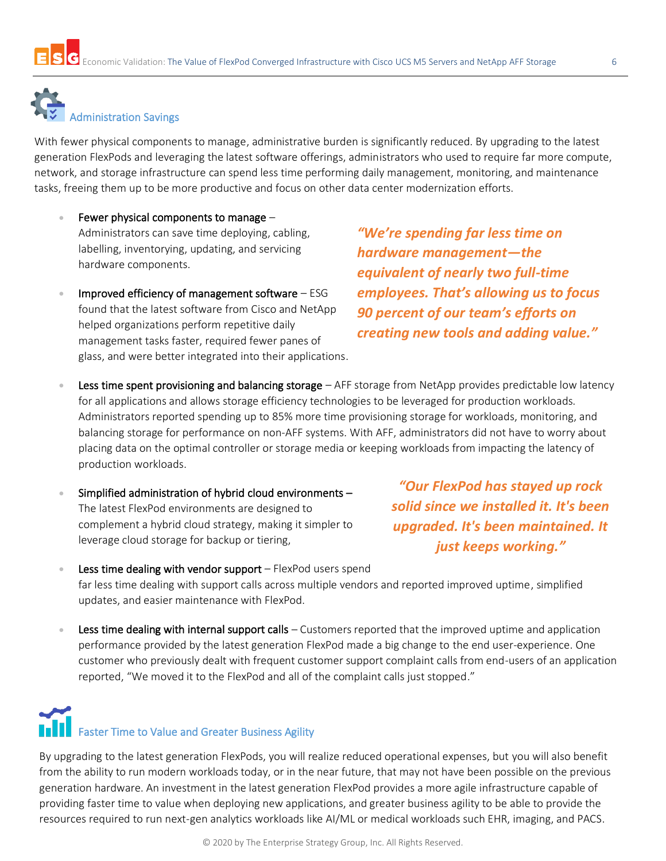

With fewer physical components to manage, administrative burden is significantly reduced. By upgrading to the latest generation FlexPods and leveraging the latest software offerings, administrators who used to require far more compute, network, and storage infrastructure can spend less time performing daily management, monitoring, and maintenance tasks, freeing them up to be more productive and focus on other data center modernization efforts.

- Fewer physical components to manage  $-$ Administrators can save time deploying, cabling, labelling, inventorying, updating, and servicing hardware components.
- Improved efficiency of management software  $-ESG$ found that the latest software from Cisco and NetApp helped organizations perform repetitive daily management tasks faster, required fewer panes of glass, and were better integrated into their applications.

*"We're spending far less time on hardware management—the equivalent of nearly two full-time employees. That's allowing us to focus 90 percent of our team's efforts on creating new tools and adding value."*

- Less time spent provisioning and balancing storage  $-AFF$  storage from NetApp provides predictable low latency for all applications and allows storage efficiency technologies to be leveraged for production workloads. Administrators reported spending up to 85% more time provisioning storage for workloads, monitoring, and balancing storage for performance on non-AFF systems. With AFF, administrators did not have to worry about placing data on the optimal controller or storage media or keeping workloads from impacting the latency of production workloads.
- Simplified administration of hybrid cloud environments The latest FlexPod environments are designed to complement a hybrid cloud strategy, making it simpler to leverage cloud storage for backup or tiering,

*"Our FlexPod has stayed up rock solid since we installed it. It's been upgraded. It's been maintained. It just keeps working."*

- $\bullet$  Less time dealing with vendor support FlexPod users spend **Less time dealing with vendor support** – FlexPod users spend<br>far less time dealing with support calls across multiple vendors and reported improved uptime, simplified updates, and easier maintenance with FlexPod. *complaint calls just stopped."*
- Less time dealing with internal support calls Customers reported that the improved uptime and application performance provided by the latest generation FlexPod made a big change to the end user-experience. One customer who previously dealt with frequent customer support complaint calls from end-users of an application reported, "We moved it to the FlexPod and all of the complaint calls just stopped."

# **Faster Time to Value and Greater Business Agility**

By upgrading to the latest generation FlexPods, you will realize reduced operational expenses, but you will also benefit from the ability to run modern workloads today, or in the near future, that may not have been possible on the previous generation hardware. An investment in the latest generation FlexPod provides a more agile infrastructure capable of providing faster time to value when deploying new applications, and greater business agility to be able to provide the resources required to run next-gen analytics workloads like AI/ML or medical workloads such EHR, imaging, and PACS.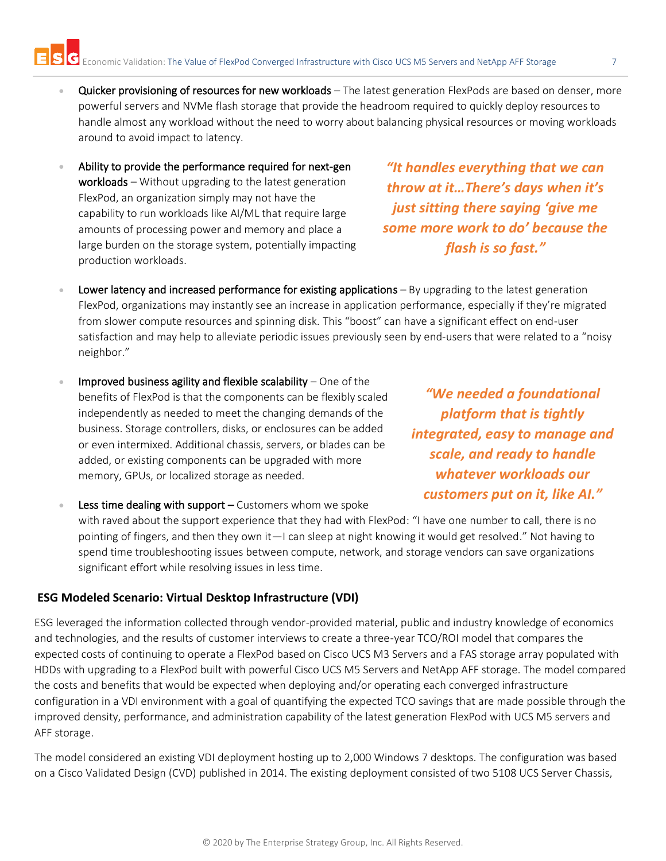- Quicker provisioning of resources for new workloads The latest generation FlexPods are based on denser, more powerful servers and NVMe flash storage that provide the headroom required to quickly deploy resources to handle almost any workload without the need to worry about balancing physical resources or moving workloads around to avoid impact to latency.
- Ability to provide the performance required for next-gen workloads – Without upgrading to the latest generation FlexPod, an organization simply may not have the capability to run workloads like AI/ML that require large amounts of processing power and memory and place a large burden on the storage system, potentially impacting production workloads.

*"It handles everything that we can throw at it…There's days when it's just sitting there saying 'give me some more work to do' because the flash is so fast."*

- Lower latency and increased performance for existing applications  $-$  By upgrading to the latest generation FlexPod, organizations may instantly see an increase in application performance, especially if they're migrated from slower compute resources and spinning disk. This "boost" can have a significant effect on end-user satisfaction and may help to alleviate periodic issues previously seen by end-users that were related to a "noisy neighbor."
- Improved business agility and flexible scalability One of the benefits of FlexPod is that the components can be flexibly scaled independently as needed to meet the changing demands of the business. Storage controllers, disks, or enclosures can be added or even intermixed. Additional chassis, servers, or blades can be added, or existing components can be upgraded with more memory, GPUs, or localized storage as needed.

*"We needed a foundational platform that is tightly integrated, easy to manage and scale, and ready to handle whatever workloads our customers put on it, like AI."*

Less time dealing with support  $-$  Customers whom we spoke with raved about the support experience that they had with FlexPod: "I have one number to call, there is no pointing of fingers, and then they own it—I can sleep at night knowing it would get resolved." Not having to spend time troubleshooting issues between compute, network, and storage vendors can save organizations significant effort while resolving issues in less time.

## **ESG Modeled Scenario: Virtual Desktop Infrastructure (VDI)**

ESG leveraged the information collected through vendor-provided material, public and industry knowledge of economics and technologies, and the results of customer interviews to create a three-year TCO/ROI model that compares the expected costs of continuing to operate a FlexPod based on Cisco UCS M3 Servers and a FAS storage array populated with HDDs with upgrading to a FlexPod built with powerful Cisco UCS M5 Servers and NetApp AFF storage. The model compared the costs and benefits that would be expected when deploying and/or operating each converged infrastructure configuration in a VDI environment with a goal of quantifying the expected TCO savings that are made possible through the improved density, performance, and administration capability of the latest generation FlexPod with UCS M5 servers and AFF storage.

The model considered an existing VDI deployment hosting up to 2,000 Windows 7 desktops. The configuration was based on a Cisco Validated Design (CVD) published in 2014. The existing deployment consisted of two 5108 UCS Server Chassis,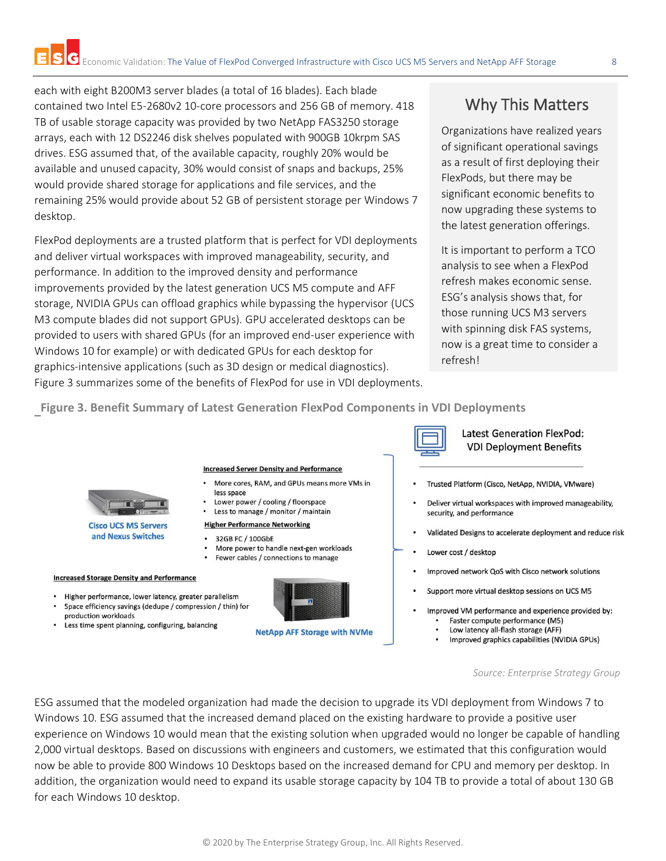each with eight B200M3 server blades (a total of 16 blades). Each blade contained two Intel E5-2680v2 10-core processors and 256 GB of memory. 418 TB of usable storage capacity was provided by two NetApp FAS3250 storage arrays, each with 12 DS2246 disk shelves populated with 900GB 10krpm SAS drives. ESG assumed that, of the available capacity, roughly 20% would be available and unused capacity, 30% would consist of snaps and backups, 25% would provide shared storage for applications and file services, and the remaining 25% would provide about 52 GB of persistent storage per Windows 7 desktop.

FlexPod deployments are a trusted platform that is perfect for VDI deployments and deliver virtual workspaces with improved manageability, security, and performance. In addition to the improved density and performance improvements provided by the latest generation UCS M5 compute and AFF storage, NVIDIA GPUs can offload graphics while bypassing the hypervisor (UCS M3 compute blades did not support GPUs). GPU accelerated desktops can be provided to users with shared GPUs (for an improved end-user experience with Windows 10 for example) or with dedicated GPUs for each desktop for graphics-intensive applications (such as 3D design or medical diagnostics). Figure 3 summarizes some of the benefits of FlexPod for use in VDI deployments.

# Why This Matters

Organizations have realized years of significant operational savings as a result of first deploying their FlexPods, but there may be significant economic benefits to now upgrading these systems to the latest generation offerings.

It is important to perform a TCO analysis to see when a FlexPod refresh makes economic sense. ESG's analysis shows that, for those running UCS M3 servers with spinning disk FAS systems, now is a great time to consider a refresh!

**Figure 3. Benefit Summary of Latest Generation FlexPod Components in VDI Deployments** 



### **Cisco UCS M5 Servers** and Nexus Switches

#### **Increased Storage Density and Performance**

- Higher performance, lower latency, greater parallelism
- Space efficiency savings (dedupe / compression / thin) for production workloads
- Less time spent planning, configuring, balancing



- More cores, RAM, and GPUs means more VMs in less space
- Lower power / cooling / floorspace
- Less to manage / monitor / maintain

#### **Higher Performance Networking**

32GB FC / 100GbE

 $\bullet$ 

- More power to handle next-gen workloads
- Fewer cables / connections to manage



**NetApp AFF Storage with NVMe** 



## **Latest Generation FlexPod: VDI Deployment Benefits**

- Trusted Platform (Cisco, NetApp, NVIDIA, VMware)
- Deliver virtual workspaces with improved manageability. security, and performance
- Validated Designs to accelerate deployment and reduce risk
- Lower cost / desktop
- Improved network QoS with Cisco network solutions
- Support more virtual desktop sessions on UCS M5
- Improved VM performance and experience provided by: Faster compute performance (M5)
	- Low latency all-flash storage (AFF)
	- Improved graphics capabilities (NVIDIA GPUs)

#### *Source: Enterprise Strategy Group*

ESG assumed that the modeled organization had made the decision to upgrade its VDI deployment from Windows 7 to Windows 10. ESG assumed that the increased demand placed on the existing hardware to provide a positive user experience on Windows 10 would mean that the existing solution when upgraded would no longer be capable of handling 2,000 virtual desktops. Based on discussions with engineers and customers, we estimated that this configuration would now be able to provide 800 Windows 10 Desktops based on the increased demand for CPU and memory per desktop. In addition, the organization would need to expand its usable storage capacity by 104 TB to provide a total of about 130 GB for each Windows 10 desktop.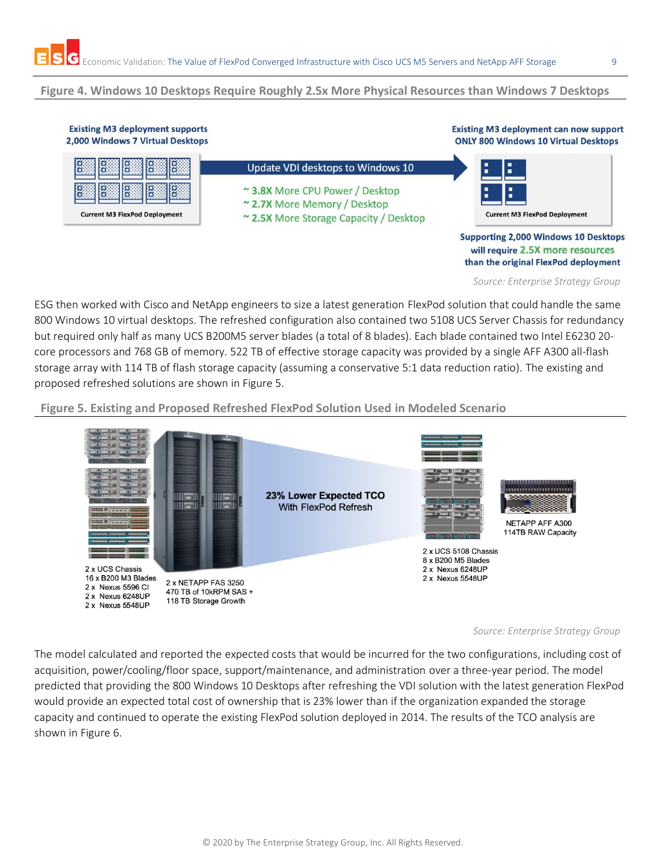## **Figure 4. Windows 10 Desktops Require Roughly 2.5x More Physical Resources than Windows 7 Desktops**

### **Existing M3 deployment supports** 2.000 Windows 7 Virtual Desktops

| 0,000 0,000 0,000 0,000 0,000<br>0,000 0,000 0,000 0,000 0,000  | Update VDI desktops to Windows 10                                                                        |                                                                                                                         |
|-----------------------------------------------------------------|----------------------------------------------------------------------------------------------------------|-------------------------------------------------------------------------------------------------------------------------|
| 800 800 800 800 800 800<br><b>Current M3 FlexPod Deployment</b> | ~3.8X More CPU Power / Desktop<br>~ 2.7X More Memory / Desktop<br>~ 2.5X More Storage Capacity / Desktop | $\blacksquare$<br><b>Current M3 FlexPod Deployment</b>                                                                  |
|                                                                 |                                                                                                          | <b>Supporting 2,000 Windows 10 Desktops</b><br>will require 2.5X more resources<br>than the original FlexPod deployment |
|                                                                 |                                                                                                          | Source: Enterprise Strategy Group                                                                                       |

ESG then worked with Cisco and NetApp engineers to size a latest generation FlexPod solution that could handle the same 800 Windows 10 virtual desktops. The refreshed configuration also contained two 5108 UCS Server Chassis for redundancy but required only half as many UCS B200M5 server blades (a total of 8 blades). Each blade contained two Intel E6230 20 core processors and 768 GB of memory. 522 TB of effective storage capacity was provided by a single AFF A300 all-flash storage array with 114 TB of flash storage capacity (assuming a conservative 5:1 data reduction ratio). The existing and proposed refreshed solutions are shown in Figure 5.

## **Figure 5. Existing and Proposed Refreshed FlexPod Solution Used in Modeled Scenario**



*Source: Enterprise Strategy Group*

The model calculated and reported the expected costs that would be incurred for the two configurations, including cost of acquisition, power/cooling/floor space, support/maintenance, and administration over a three-year period. The model predicted that providing the 800 Windows 10 Desktops after refreshing the VDI solution with the latest generation FlexPod would provide an expected total cost of ownership that is 23% lower than if the organization expanded the storage capacity and continued to operate the existing FlexPod solution deployed in 2014. The results of the TCO analysis are shown in Figure 6.

**Existing M3 deployment can now support** 

**ONLY 800 Windows 10 Virtual Desktops**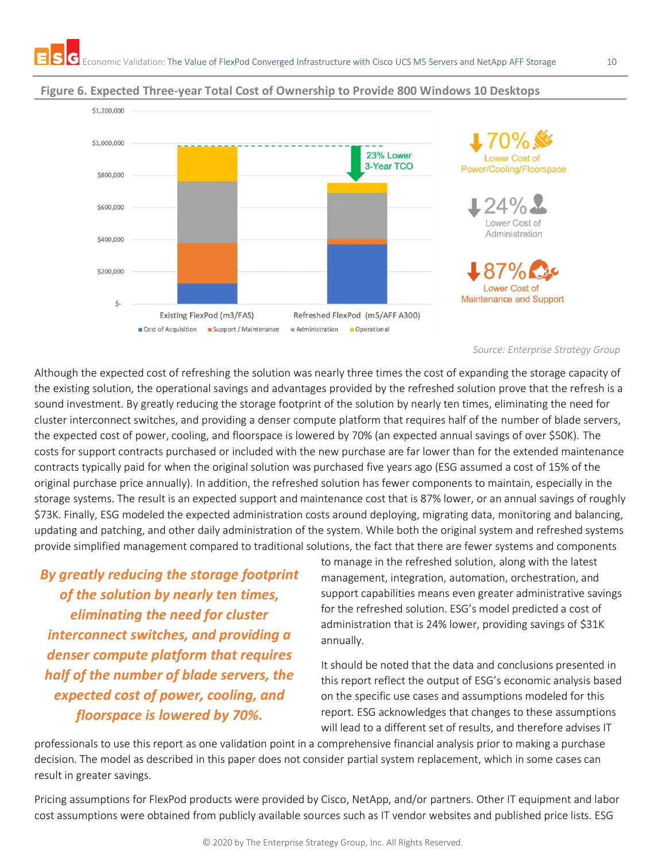

## **Figure 6. Expected Three-year Total Cost of Ownership to Provide 800 Windows 10 Desktops**

*Source: Enterprise Strategy Group*

Although the expected cost of refreshing the solution was nearly three times the cost of expanding the storage capacity of the existing solution, the operational savings and advantages provided by the refreshed solution prove that the refresh is a sound investment. By greatly reducing the storage footprint of the solution by nearly ten times, eliminating the need for cluster interconnect switches, and providing a denser compute platform that requires half of the number of blade servers, the expected cost of power, cooling, and floorspace is lowered by 70% (an expected annual savings of over \$50K). The costs for support contracts purchased or included with the new purchase are far lower than for the extended maintenance contracts typically paid for when the original solution was purchased five years ago (ESG assumed a cost of 15% of the original purchase price annually). In addition, the refreshed solution has fewer components to maintain, especially in the storage systems. The result is an expected support and maintenance cost that is 87% lower, or an annual savings of roughly \$73K. Finally, ESG modeled the expected administration costs around deploying, migrating data, monitoring and balancing, updating and patching, and other daily administration of the system. While both the original system and refreshed systems provide simplified management compared to traditional solutions, the fact that there are fewer systems and components

*By greatly reducing the storage footprint of the solution by nearly ten times, eliminating the need for cluster interconnect switches, and providing a denser compute platform that requires half of the number of blade servers, the expected cost of power, cooling, and floorspace is lowered by 70%.*

to manage in the refreshed solution, along with the latest management, integration, automation, orchestration, and support capabilities means even greater administrative savings for the refreshed solution. ESG's model predicted a cost of administration that is 24% lower, providing savings of \$31K annually.

It should be noted that the data and conclusions presented in this report reflect the output of ESG's economic analysis based on the specific use cases and assumptions modeled for this report. ESG acknowledges that changes to these assumptions will lead to a different set of results, and therefore advises IT

professionals to use this report as one validation point in a comprehensive financial analysis prior to making a purchase decision. The model as described in this paper does not consider partial system replacement, which in some cases can result in greater savings.

Pricing assumptions for FlexPod products were provided by Cisco, NetApp, and/or partners. Other IT equipment and labor cost assumptions were obtained from publicly available sources such as IT vendor websites and published price lists. ESG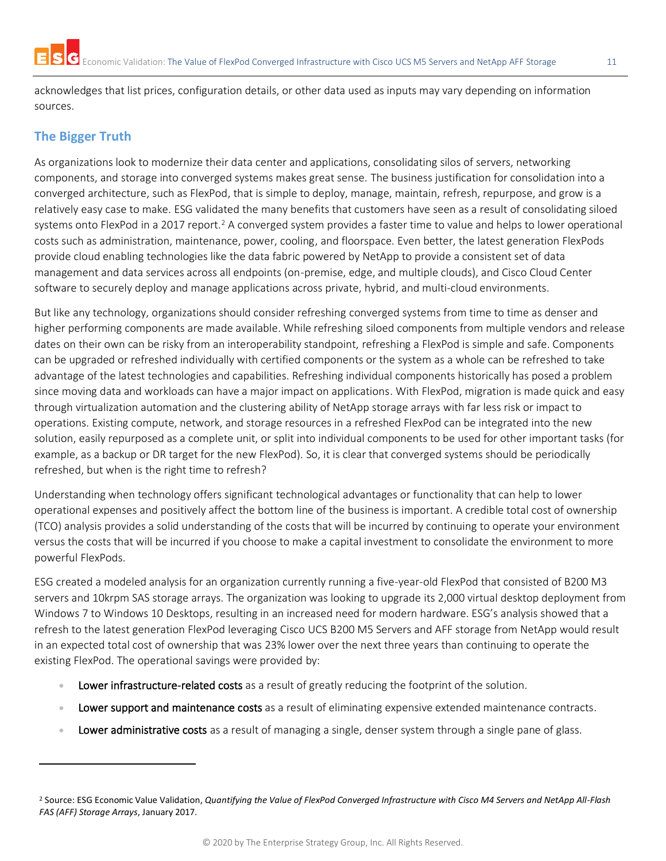acknowledges that list prices, configuration details, or other data used as inputs may vary depending on information sources.

# **The Bigger Truth**

As organizations look to modernize their data center and applications, consolidating silos of servers, networking components, and storage into converged systems makes great sense. The business justification for consolidation into a converged architecture, such as FlexPod, that is simple to deploy, manage, maintain, refresh, repurpose, and grow is a relatively easy case to make. ESG validated the many benefits that customers have seen as a result of consolidating siloed systems onto FlexPod in a 2017 report.<sup>2</sup> A converged system provides a faster time to value and helps to lower operational costs such as administration, maintenance, power, cooling, and floorspace. Even better, the latest generation FlexPods provide cloud enabling technologies like the data fabric powered by NetApp to provide a consistent set of data management and data services across all endpoints (on-premise, edge, and multiple clouds), and Cisco Cloud Center software to securely deploy and manage applications across private, hybrid, and multi-cloud environments.

But like any technology, organizations should consider refreshing converged systems from time to time as denser and higher performing components are made available. While refreshing siloed components from multiple vendors and release dates on their own can be risky from an interoperability standpoint, refreshing a FlexPod is simple and safe. Components can be upgraded or refreshed individually with certified components or the system as a whole can be refreshed to take advantage of the latest technologies and capabilities. Refreshing individual components historically has posed a problem since moving data and workloads can have a major impact on applications. With FlexPod, migration is made quick and easy through virtualization automation and the clustering ability of NetApp storage arrays with far less risk or impact to operations. Existing compute, network, and storage resources in a refreshed FlexPod can be integrated into the new solution, easily repurposed as a complete unit, or split into individual components to be used for other important tasks (for example, as a backup or DR target for the new FlexPod). So, it is clear that converged systems should be periodically refreshed, but when is the right time to refresh?

Understanding when technology offers significant technological advantages or functionality that can help to lower operational expenses and positively affect the bottom line of the business is important. A credible total cost of ownership (TCO) analysis provides a solid understanding of the costs that will be incurred by continuing to operate your environment versus the costs that will be incurred if you choose to make a capital investment to consolidate the environment to more powerful FlexPods.

ESG created a modeled analysis for an organization currently running a five-year-old FlexPod that consisted of B200 M3 servers and 10krpm SAS storage arrays. The organization was looking to upgrade its 2,000 virtual desktop deployment from Windows 7 to Windows 10 Desktops, resulting in an increased need for modern hardware. ESG's analysis showed that a refresh to the latest generation FlexPod leveraging Cisco UCS B200 M5 Servers and AFF storage from NetApp would result in an expected total cost of ownership that was 23% lower over the next three years than continuing to operate the existing FlexPod. The operational savings were provided by:

- Lower infrastructure-related costs as a result of greatly reducing the footprint of the solution.
- Lower support and maintenance costs as a result of eliminating expensive extended maintenance contracts.
- Lower administrative costs as a result of managing a single, denser system through a single pane of glass.

<sup>2</sup> Source: ESG Economic Value Validation, *Quantifying the Value of FlexPod Converged Infrastructure with Cisco M4 Servers and NetApp All-Flash FAS (AFF) Storage Arrays*, January 2017.